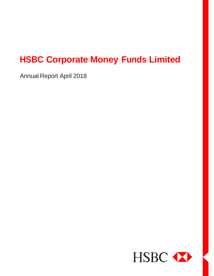# **HSBC Corporate Money Funds Limited**

Annual Report April 2018

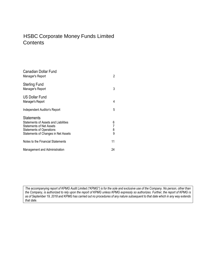## HSBC Corporate Money Funds Limited **Contents**

| <b>Canadian Dollar Fund</b><br>Manager's Report                                                                                                                 | 2                |
|-----------------------------------------------------------------------------------------------------------------------------------------------------------------|------------------|
| Sterling Fund<br>Manager's Report                                                                                                                               | 3                |
| <b>US Dollar Fund</b><br>Manager's Report                                                                                                                       | 4                |
| Independent Auditor's Report                                                                                                                                    | 5                |
| Statements<br>Statements of Assets and Liabilities<br><b>Statements of Net Assets</b><br><b>Statements of Operations</b><br>Statements of Changes in Net Assets | 6<br>7<br>8<br>9 |
| Notes to the Financial Statements                                                                                                                               | 11               |
| Management and Administration                                                                                                                                   | 24               |

*The accompanying report of KPMG Audit Limited ("KPMG") is for the sole and exclusive use of the Company. No person, other than the Company, is authorized to rely upon the report of KPMG unless KPMG expressly so authorizes. Further, the report of KPMG is as of September 19, 2018 and KPMG has carried out no procedures of any nature subsequent to that date which in any way extends that date.*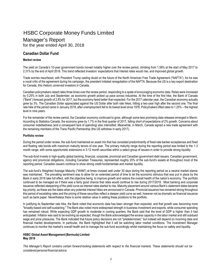### HSBC Corporate Money Funds Limited Manager's Report for the year ended April 30, 2018

### **Canadian Dollar Fund**

### **Market review**

The yield on Canada's 10-year government bonds moved notably higher over the review period, climbing from 1.58% at the start of May 2017 to 2.31% by the end of April 2018. This trend reflected investors' expectations that interest rates would rise, and improved global growth.

Trade worries resurfaced, with President Trump casting doubt on the future of the North American Free Trade Agreement ("NAFTA"). As he was a vocal critic of the agreement during his campaign, the president initiated renegotiation of the NAFTA. Because the US is a key export destination for Canada, this rhetoric unnerved investors in Canada.

Canadian policymakers raised rates three times over the review period, responding to a spate of encouraging economic data. Rates were increased by 0.25% in both July and September, as economic growth picked up pace across industries. At the time of the first hike, the Bank of Canada ("Bank") forecast growth of 2.8% for 2017, but the economy fared better than expected. For the 2017 calendar year, the Canadian economy actually grew by 3%. The Canadian Dollar appreciated against the US Dollar after both rate hikes, hitting a two-year high after the second one. The final rate hike of the period came in January 2018, after unemployment fell to its lowest level since 1976. Policymakers lifted rates to 1.25% – the highest level in nine years.

For the remainder of the review period, the Canadian economy continued to grow, although some less promising data releases emerged in March. According to Statistics Canada, the economy grew by 1.7% in the final quarter of 2017, falling short of expectations of 2% growth. Concerns about consumer indebtedness (and a consequent lack of spending) also intensified. Meanwhile, in March, Canada signed a new trade agreement with the remaining members of the Trans Pacific Partnership (the US withdrew in early 2017).

### **Portfolio review**

During the period under review, the sub-fund maintained an asset mix that has consisted predominantly of fixed-rate banker acceptances and fixed and floating rate bonds with maximum maturity tenors of one year. The primary maturity range during the reporting period was limited to the 1-3 month range, with some opportunistic extensions in 3-12 month securities within a select group of issuers in order to provide strong liquidity.

The sub-fund invests in high-quality global banking, financial, corporate, provincial and Canadian government debt issuers. Canadian government, agency and provincial obligations, including Canadian Treasuries, represented roughly 25% of the sub-fund's assets at throughout most of the reporting period. Canadian issuers continue to show strong credit fundamentals and market liquidity.

The sub-fund's Weighted Average Maturity ("WAM") at times crossed well under 30 days during the reporting period as a neutral market stance was maintained. The prevailing sentiment was to allow for an extended period of time to let the economic stimulus that was put in place by the Bank in early 2016 take full effect, with the objective being, to improve growth and restore the overall health of the nation's economy. The portfolio continued to be managed as if there was a fairly good chance that rates would continue to rise during 2017/2018. Most banking and corporate issuance reflected steepening of the yield curve as interest rates started to rise. Maturity placement around various Bank's statement dates became top priority, as these are the dates when any potential interest hikes are announced in Canada. Provincial issuance has remained strong throughout this period of escalating rates and the pricing of these securities reflect a steeper yield curve as well, however not as dramatic as financial issuance such as bank paper. Nevertheless there is some relative value in adding these positions to the portfolio.

In justifying its September rate hike, the Bank noted that economic data has been stronger than expected, and that growth was becoming more "broadly-based and self-sustaining." The Bank also noted more widespread strength in business investment and exports, while consumer spending has remained robust. While expecting GDP growth to moderate in coming quarters, the Bank said that the level of GDP is higher than it had anticipated. Inflation was said to be evolving as expected, though the Bank acknowledged the excess capacity in the labor market and still subdued wage and price pressures. The Bank indicated that future policy decisions are not "predetermined," but instead will depend on incoming data and financial market developments. In particular, the Bank highlighted that it will be watching labor market conditions. The Investment Manager continues to monitor the market's overall health and to manage the sub-fund accordingly whilst maintaining the focus on safety and liquidity.

### **HSBC Global Asset Management(Bermuda) Limited May 2018**

This Manager's Report contains certain forward-looking statements with respect to the financial markets. These statements should not be *considered personal financial advice.*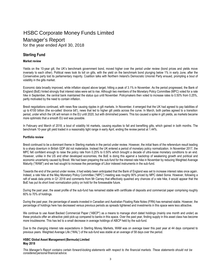### HSBC Corporate Money Funds Limited Manager's Report for the year ended April 30, 2018

### **Sterling Fund**

### **Market review**

Yields on the 10-year gilt, the UK's benchmark government bond, moved higher over the period under review (bond prices and yields move inversely to each other). Political news took its toll on gilts, with the yield on the benchmark bond plunging below 1% in early June, after the Conservative party lost its parliamentary majority. Coalition talks with Northern Ireland's Democratic Unionist Party ensued, prompting a bout of volatility in the gilts market.

Economic data broadly improved, while inflation stayed above target, hitting a peak of 3.1% in November. As the period progressed, the Bank of England (BoE) hinted strongly that interest rates were set to rise. Although two members of the Monetary Policy Committee (MPC) voted for a rate hike in September, the central bank maintained the status quo until November. Policymakers then voted to increase rates to 0.50% from 0.25%, partly motivated by the need to contain inflation.

Brexit negotiations continued, with news flow causing ripples in gilt markets. In November, it emerged that the UK had agreed to pay liabilities of up to €100 billion (the so-called 'divorce bill'), news that led to higher gilt yields across the curve. In March, both parties agreed to a transition period, under which the UK will remain in the EU until 2020, but with diminished powers. This too caused a spike in gilt yields, as markets became more optimistic that a smooth EU exit was possible.

In February and March of 2018, a bout of volatility hit markets, causing equities to fall and benefiting gilts, which gained in both months. The benchmark 10-year gilt yield traded in a reasonably tight range in early April, ending the review period at 1.44%.

### **Portfolio review**

Brexit continued to be a dominant theme in Sterling markets in the period under review. However, the initial fears of the referendum result leading to a sharp downturn in British GDP did not materialize. Instead the UK entered a period of monetary policy normalization. In November 2017, the MPC felt confident enough to raise the policy rate from 0.25% to 0.50% which brought a decade of ultra-loose monetary conditions to an end. However, unlike in the US and other developed economies, the BoE is doing this against a backdrop of weakening growth and political and economic uncertainty caused by Brexit. We had been preparing the sub-fund for the interest rate hike in November by reducing Weighted Average Maturity ("WAM") and we had sought to increase the percentage of Libor indexed instruments in the sub-fund.

Towards the end of the period under review, it had widely been anticipated that the Bank of England was set to increase interest rates once again. Indeed, a rate hike at the May Monetary Policy Committee ("MPC") meeting was roughly 90% priced by MPC dated Sonia. However, following a raft of weak data prints in Q1 2018 and comments from Mr Carney that effectively quashed any chances of a rate hike, it would appear that the BoE has put its short lived normalization policy on hold for the foreseeable future.

During the past year, the asset profile of the sub-fund has remained stable with certificate of deposits and commercial paper comprising roughly 60% to 70% of holdings.

During the past year, the percentage of assets invested in Canadian and Australian Floating Rate Notes (FRN) has remained stable. However, the percentage of holdings here has decreased versus previous periods as spreads tightened and investments in this space were less attractive.

We continue to use Asset Backed Commercial Paper ("ABCP") as a means to manage short dated holdings (mainly one month and under) as these products offer an attractive yield pick-up compared to banks in this space. Over the past year, finding supply in this asset class has become more troublesome. This has led to a small decrease in average holdings of ABCP held by the sub-fund.

Due to the changing interest rate expectations in Sterling Money Markets, WAM was on average lower this past year at 44 days compared to previous years. Weighted Average Life ("WAL") of the sub-fund was stable at an average of 58 days over the period.

### **HSBC Global Asset Management(Bermuda) Limited May 2018**

This Manager's Report contains certain forward-looking statements with respect to the financial markets. These statements should not be *considered personal financial advice.*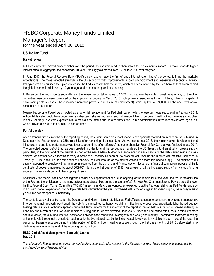## HSBC Corporate Money Funds Limited Manager's Report

for the year ended April 30, 2018

### **US Dollar Fund**

### **Market review**

US Treasury yields moved broadly higher over the period, as investors readied themselves for 'policy normalization' – a move towards higher interest rates. In aggregate, the benchmark 10-year Treasury yield moved from 2.32% to 2.95% over the year.

In June 2017, the Federal Reserve Bank ("Fed") policymakers made the first of three interest-rate hikes of the period, fulfilling the market's expectations. The move reflected strength in the US economy, with improvements in both unemployment and measures of economic activity. Policymakers also outlined their plans to reduce the Fed's sizeable balance sheet, which had been inflated by the Fed bailouts that accompanied the global economic crisis nearly 10 years ago, and subsequent quantitative easing.

In December, the Fed made its second hike in the review period, taking rates to 1.50%. Two Fed members vote against the rate rise, but the other committee members were convinced by the improving economy. In March 2018, policymakers raised rates for a third time, following a spate of encouraging data releases. These included non-farm payrolls (a measure of employment), which spiked to 324,000 in February – well above consensus expectations.

Meanwhile, Jerome Powell was mooted as a potential replacement for Fed chair Janet Yellen, whose term was set to end in February 2018. Although Ms Yellen could have undertaken another term, she was not endorsed by President Trump. Jerome Powell took up the reins as Fed chair in early February; investors expected him to maintain the status quo. In other news, the Trump administration introduced tax-reform legislation, which delivered sizeable tax cuts to US corporations.

### **Portfolio review**

After a tranquil first six months of the reporting period, there were some significant market developments that had an impact on the sub-fund. In December the Fed announce a 25bp rate hike after remaining idle since June. As we moved into 2018, the major market development that influenced the sub-fund performance was focused around the after-effects of the comprehensive Federal Tax Cut that was finalized in late 2017. The projected budget deficit that has been created in order to fund the tax cut has mandated the US Treasury to dramatically increase supply, particularly in the front end of the market. As part of the new Federal budget deal announced in early February, the debt ceiling resolution was delayed for another twelve months thereby allowing the Treasury Department to proceed with flooding the market with massive increases in Treasury Bill Issuance.. For the remainder of February, and well into March the market was left to absorb this added supply. The addition to Bill supply happened to coincide with a ramp-up in issuance from the banking and finance sector. Issuance in financial commercial paper and Bank certificate of deposits increased by about 60%-65% during the first quarter of 2018. As a result of all the increased supply from various funding sources, market yields began to back up significantly.

Additionally, the market has been dealing with another development that should be ongoing for the remainder of the year, and that is the activities of the Fed and the anticipation of as many as four interest rate hikes during the course of 2018. New Fed Chairman Jerome Powell, presiding over his first Federal Open Market Committee ("FOMC") meeting in March, announced, as expected, that the Fed was raising the Fed Funds range by 25bp. With market expectations for multiple rate hikes throughout the year, combined with a major surge in front-end supply, the money market yield curve has steepened substantially.

The portfolio was well positioned for the December and March interest rate hikes as Fed officials continue to demonstrate extreme transparency. In order to remain properly positioned, the sub-fund maintained its heavy weighting in floating rate securities, specifically Libor based agency floating rate issuance. Although spreads remained fairly uniform for the majority of the reporting period before a period of spread widening in February and March, the relative value remained strong due to slightly elevated Libor levels. When the Fed raised rates, both in mid-December and mid-March, the sub-fund was well positioned between short maturities (overnight to one week) and monthly Libor floaters that were resetting at higher levels throughout the periods leading up to the two interest rate tightening's. Asset flows were fairly stable through most of the reporting period but began to escalate during the later portion of 2017 and continued to escalate through the first three months of 2018 before starting to decline as we came to the end of the reporting period in April.

### **HSBC Global Asset Management(Bermuda) Limited May 2018**

This Manager's Report contains certain forward-looking statements with respect to the financial markets. These statements should not be *considered personal financial advice.*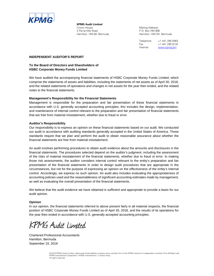

**KPMG Audit Limited**

Crown House 4 Par-la-Ville Road Hamilton HM 08 Bermuda Mailing Address: P.O. Box HM 906 Hamilton HM DX Bermuda

Telephone +1 441 295 5063 Fax +1 441 295 9132 Internet [www.kpmg.bm](http://www.kpmg.bm/)

### **INDEPENDENT AUDITOR'S REPORT**

### **To the Board of Directors and Shareholders of HSBC Corporate Money Funds Limited**

We have audited the accompanying financial statements of HSBC Corporate Money Funds Limited, which comprise the statements of assets and liabilities, including the statements of net assets as of April 30, 2018, and the related statements of operations and changes in net assets for the year then ended, and the related notes to the financial statements.

### **Management's Responsibility for the Financial Statements**

Management is responsible for the preparation and fair presentation of these financial statements in accordance with U.S. generally accepted accounting principles; this includes the design, implementation, and maintenance of internal control relevant to the preparation and fair presentation of financial statements that are free from material misstatement, whether due to fraud or error.

### **Auditor's Responsibility**

Our responsibility is to express an opinion on these financial statements based on our audit. We conducted our audit in accordance with auditing standards generally accepted in the United States of America. Those standards require that we plan and perform the audit to obtain reasonable assurance about whether the financial statements are free from material misstatement.

An audit involves performing procedures to obtain audit evidence about the amounts and disclosures in the financial statements. The procedures selected depend on the auditor's judgment, including the assessment of the risks of material misstatement of the financial statements, whether due to fraud or error. In making those risk assessments, the auditor considers internal control relevant to the entity's preparation and fair presentation of the financial statements in order to design audit procedures that are appropriate in the circumstances, but not for the purpose of expressing an opinion on the effectiveness of the entity's internal control. Accordingly, we express no such opinion. An audit also includes evaluating the appropriateness of accounting policies used and the reasonableness of significant accounting estimates made by management, as well as evaluating the overall presentation of the financial statements.

We believe that the audit evidence we have obtained is sufficient and appropriate to provide a basis for our audit opinion.

### **Opinion**

In our opinion, the financial statements referred to above present fairly in all material respects, the financial position of HSBC Corporate Money Funds Limited as of April 30, 2018, and the results of its operations for the year then ended in accordance with U.S. generally accepted accounting principles.

KPMG Audit Limited

Chartered Professional Accountants Hamilton, Bermuda September 19, 2018

> © 2018 KPMG Audit Limited, a Bermuda limited liability company and a member firm of the KPMG network of independent member firms affiliated with KPMG International Cooperative ("KPMG International"), a Swiss entity All rights reserved.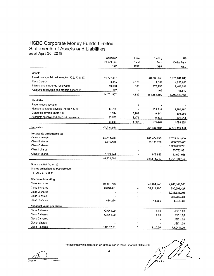## **HSBC Corporate Money Funds Limited Statements of Assets and Liabilities**

as at April 30, 2018

|                                                  | Canadian    | Euro                  | Sterling    | US               |
|--------------------------------------------------|-------------|-----------------------|-------------|------------------|
|                                                  | Dollar Fund | Fund                  | Fund        | Dollar Fund      |
|                                                  | CAD.        | <b>EUR</b>            | GBP         | USD              |
| Assets                                           |             |                       |             |                  |
| Investments, at fair value (notes 2(b), 12 & 13) | 44,707,417  |                       | 381,466,450 | 5,779,640,846    |
| Cash (note 3)                                    | 3,445       | 4,176                 | 11,359      | 4,055,966        |
| Interest and dividends receivable                | 49,853      | 706                   | 173,238     | 9,405,533        |
| Accounts receivable and prepaid expenses         | 1,192       |                       | 462         | 46,819           |
|                                                  | 44,761,907  | 4,882                 | 381,651,509 | 5,793,149,164    |
| Liabilities                                      |             |                       |             |                  |
| Redemptions payable                              |             | 7                     |             |                  |
| Management fees payable (notes 4 & 15)           | 14,729      |                       | 105,810     | 1,296,760        |
| Dividends payable (note 14)                      | 1,944       | 3,701                 | 9,847       | 301,296          |
| Accounts payable and accrued expenses            | 13,573      | 1,174                 | 19,833      | 101,918          |
|                                                  | 30,246      | 4,882                 | 135,490     | 1,699,974        |
| Net assets                                       | 44,731,661  | $\ddot{\phantom{a}}$  | 381,516,019 | 5,791,449,190    |
| Net assets attributable to:                      |             |                       |             |                  |
| Class A shares                                   | 30,411,786  |                       | 349,484,243 | 2,765,141,006    |
| Class B shares                                   | 6,648,431   |                       | 31,111,790  | 886,797,427      |
| Class C shares                                   |             |                       |             | 1,933,635,791    |
| Class I shares                                   |             |                       |             | 183,782,981      |
| Class R shares                                   | 7,671,444   | $\ddot{\phantom{1}}$  | 919,986     | 22,091,985       |
|                                                  | 44,731,661  | $\tilde{\phantom{a}}$ | 381,516,019 | 5,791,449,190    |
| Share capital (note 11)                          |             |                       |             |                  |
| Shares authorized 19,999,880,000                 |             |                       |             |                  |
| of USD 0.10 each                                 |             |                       |             |                  |
| <b>Shares outstanding</b>                        |             |                       |             |                  |
| Class A shares                                   | 30,411,786  |                       | 349,484,243 | 2,765,141,006    |
| Class B shares                                   | 6,648.431   |                       | 31,111,790  | 886,797,427      |
| Class C shares                                   |             |                       |             | 1,933,635,791    |
| Class I shares                                   |             |                       |             | 183,782,981      |
| Class R shares                                   | 438,224     |                       | 44,555      | 1,247,938        |
| Net asset value per share                        |             |                       |             |                  |
| Class A shares                                   | CAD 1.00    |                       | £1.00       | USD 1.00         |
| Class B shares                                   | CAD 1.00    |                       | £1.00       | USD 1.00         |
| Class C shares                                   |             |                       |             | USD 1.00         |
| Class I shares                                   |             |                       |             | USD 1,00         |
| Class R shares                                   | CAD 17.51   |                       | £20.65      | <b>USD 17.70</b> |

The accompanying notes form an integral part of these Financial Statements

Director

**Director**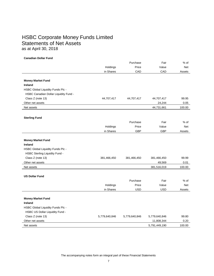### HSBC Corporate Money Funds Limited Statements of Net Assets as at April 30, 2018

### **Canadian Dollar Fund**

| Holdings<br>Price<br>Value<br><b>Net</b><br>in Shares<br>CAD<br>CAD<br>Assets<br><b>Money Market Fund</b><br>Ireland<br><b>HSBC Global Liquidity Funds Plc -</b><br>HSBC Canadian Dollar Liquidity Fund -<br>Class Z (note 13)<br>44,707,417<br>44,707,417<br>44,707,417<br>99.95<br>Other net assets<br>24,244<br>0.05<br>44,731,661<br>Net assets<br>100.00<br><b>Sterling Fund</b><br>Purchase<br>Fair<br>$%$ of<br>Price<br>Holdings<br>Value<br><b>Net</b> |
|-----------------------------------------------------------------------------------------------------------------------------------------------------------------------------------------------------------------------------------------------------------------------------------------------------------------------------------------------------------------------------------------------------------------------------------------------------------------|
|                                                                                                                                                                                                                                                                                                                                                                                                                                                                 |
|                                                                                                                                                                                                                                                                                                                                                                                                                                                                 |
|                                                                                                                                                                                                                                                                                                                                                                                                                                                                 |
|                                                                                                                                                                                                                                                                                                                                                                                                                                                                 |
|                                                                                                                                                                                                                                                                                                                                                                                                                                                                 |
|                                                                                                                                                                                                                                                                                                                                                                                                                                                                 |
|                                                                                                                                                                                                                                                                                                                                                                                                                                                                 |
|                                                                                                                                                                                                                                                                                                                                                                                                                                                                 |
|                                                                                                                                                                                                                                                                                                                                                                                                                                                                 |
|                                                                                                                                                                                                                                                                                                                                                                                                                                                                 |
|                                                                                                                                                                                                                                                                                                                                                                                                                                                                 |
|                                                                                                                                                                                                                                                                                                                                                                                                                                                                 |
|                                                                                                                                                                                                                                                                                                                                                                                                                                                                 |
|                                                                                                                                                                                                                                                                                                                                                                                                                                                                 |
| in Shares<br>GBP<br><b>GBP</b><br>Assets                                                                                                                                                                                                                                                                                                                                                                                                                        |
|                                                                                                                                                                                                                                                                                                                                                                                                                                                                 |
| <b>Money Market Fund</b>                                                                                                                                                                                                                                                                                                                                                                                                                                        |
| <b>Ireland</b>                                                                                                                                                                                                                                                                                                                                                                                                                                                  |
| <b>HSBC Global Liquidity Funds Plc -</b>                                                                                                                                                                                                                                                                                                                                                                                                                        |
| <b>HSBC Sterling Liquidity Fund -</b>                                                                                                                                                                                                                                                                                                                                                                                                                           |
| Class Z (note 13)<br>381,466,450<br>381,466,450<br>381,466,450<br>99.99                                                                                                                                                                                                                                                                                                                                                                                         |
| Other net assets<br>49,569<br>0.01                                                                                                                                                                                                                                                                                                                                                                                                                              |
| 381,516,019<br>100.00<br>Net assets                                                                                                                                                                                                                                                                                                                                                                                                                             |
|                                                                                                                                                                                                                                                                                                                                                                                                                                                                 |
| <b>US Dollar Fund</b>                                                                                                                                                                                                                                                                                                                                                                                                                                           |
| Purchase<br>Fair<br>$%$ of                                                                                                                                                                                                                                                                                                                                                                                                                                      |
| Holdings<br>Price<br>Value<br>Net                                                                                                                                                                                                                                                                                                                                                                                                                               |
| <b>USD</b><br>in Shares<br><b>USD</b><br>Assets                                                                                                                                                                                                                                                                                                                                                                                                                 |
| <b>Money Market Fund</b>                                                                                                                                                                                                                                                                                                                                                                                                                                        |
| Ireland                                                                                                                                                                                                                                                                                                                                                                                                                                                         |
| HSBC Global Liquidity Funds Plc -                                                                                                                                                                                                                                                                                                                                                                                                                               |
| HSBC US Dollar Liquidity Fund -                                                                                                                                                                                                                                                                                                                                                                                                                                 |
| Class Z (note 13)<br>99.80<br>5,779,640,846<br>5,779,640,846<br>5,779,640,846                                                                                                                                                                                                                                                                                                                                                                                   |
| Other net assets<br>11,808,344<br>0.20                                                                                                                                                                                                                                                                                                                                                                                                                          |
| 5,791,449,190<br>100.00<br>Net assets                                                                                                                                                                                                                                                                                                                                                                                                                           |

The accompanying notes form an integral part of these Financial Statements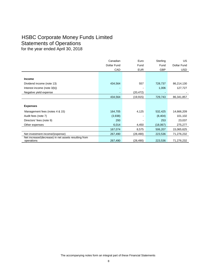## HSBC Corporate Money Funds Limited Statements of Operations

for the year ended April 30, 2018

|                                                                    | Canadian           | Euro       | Sterling   | US                 |
|--------------------------------------------------------------------|--------------------|------------|------------|--------------------|
|                                                                    | <b>Dollar Fund</b> | Fund       | Fund       | <b>Dollar Fund</b> |
|                                                                    | CAD                | <b>EUR</b> | <b>GBP</b> | USD                |
|                                                                    |                    |            |            |                    |
| <b>Income</b>                                                      |                    |            |            |                    |
| Dividend income (note 13)                                          | 434,564            | 557        | 728,737    | 86,214,130         |
| Interest income (note 3(b))                                        |                    |            | 1,006      | 127,727            |
| Negative yield expense                                             |                    | (20, 472)  |            |                    |
|                                                                    | 434,564            | (19, 915)  | 729,743    | 86,341,857         |
|                                                                    |                    |            |            |                    |
| <b>Expenses</b>                                                    |                    |            |            |                    |
| Management fees (notes 4 & 15)                                     | 164,705            | 4,125      | 532,425    | 14,666,209         |
| Audit fees (note 7)                                                | (3,938)            |            | (8, 404)   | 101,102            |
| Directors' fees (note 9)                                           | 293                |            | 253        | 23,037             |
| Other expenses                                                     | 6,014              | 4,450      | (18,067)   | 275,277            |
|                                                                    | 167,074            | 8,575      | 506,207    | 15,065,625         |
| Net investment income/(expense)                                    | 267,490            | (28, 490)  | 223,536    | 71,276,232         |
| Net increase/(decrease) in net assets resulting from<br>operations | 267,490            | (28, 490)  | 223,536    | 71,276,232         |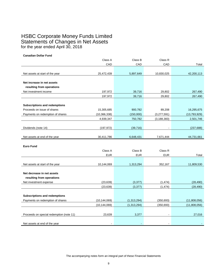### HSBC Corporate Money Funds Limited Statements of Changes in Net Assets for the year ended April 30, 2018

**Canadian Dollar Fund**

|                                          | Class A        | Class B     | Class R       |              |
|------------------------------------------|----------------|-------------|---------------|--------------|
|                                          | CAD            | CAD         | CAD           | Total        |
|                                          |                |             |               |              |
| Net assets at start of the year          | 25,472,439     | 5,897,649   | 10,830,025    | 42,200,113   |
|                                          |                |             |               |              |
| Net increase in net assets               |                |             |               |              |
| resulting from operations                |                |             |               |              |
| Net investment income                    | 197,972        | 39,716      | 29,802        | 267,490      |
|                                          | 197,972        | 39,716      | 29,802        | 267,490      |
|                                          |                |             |               |              |
| <b>Subscriptions and redemptions</b>     |                |             |               |              |
| Proceeds on issue of shares              | 15,305,685     | 900,782     | 89,208        | 16,295,675   |
| Payments on redemption of shares         | (10, 366, 338) | (150,000)   | (3,277,591)   | (13,793,929) |
|                                          | 4,939,347      | 750,782     | (3, 188, 383) | 2,501,746    |
|                                          |                |             |               |              |
| Dividends (note 14)                      | (197, 972)     | (39, 716)   |               | (237, 688)   |
|                                          |                |             |               |              |
| Net assets at end of the year            | 30,411,786     | 6,648,431   | 7,671,444     | 44,731,661   |
|                                          |                |             |               |              |
| <b>Euro Fund</b>                         |                |             |               |              |
|                                          | Class A        | Class B     | Class R       |              |
|                                          | <b>EUR</b>     | <b>EUR</b>  | <b>EUR</b>    | Total        |
|                                          |                |             |               |              |
| Net assets at start of the year          | 10,144,069     | 1,313,294   | 352,167       | 11,809,530   |
|                                          |                |             |               |              |
| Net decrease in net assets               |                |             |               |              |
| resulting from operations                |                |             |               |              |
| Net investment expense                   | (23, 639)      | (3, 377)    | (1, 474)      | (28, 490)    |
|                                          | (23, 639)      | (3, 377)    | (1, 474)      | (28, 490)    |
|                                          |                |             |               |              |
| <b>Subscriptions and redemptions</b>     |                |             |               |              |
| Payments on redemption of shares         | (10, 144, 069) | (1,313,294) | (350, 693)    | (11,808,056) |
|                                          | (10, 144, 069) | (1,313,294) | (350, 693)    | (11,808,056) |
|                                          |                |             |               |              |
| Proceeds on special redemption (note 11) | 23,639         | 3,377       |               | 27,016       |
|                                          |                |             |               |              |
| Net assets at end of the year            |                |             |               |              |

The accompanying notes form an integral part of these Financial Statements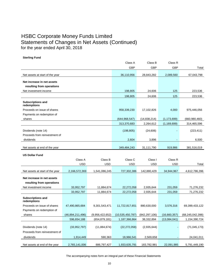### HSBC Corporate Money Funds Limited Statements of Changes in Net Assets (Continued) for the year ended April 30, 2018

### **Sterling Fund**

|                                                      |                  |                 | Class A             | Class B         | Class R       |                     |
|------------------------------------------------------|------------------|-----------------|---------------------|-----------------|---------------|---------------------|
|                                                      |                  |                 | GBP                 | <b>GBP</b>      | GBP           | Total               |
| Net assets at start of the year                      |                  |                 | 36,110,956          | 28,843,282      | 2,089,560     | 67,043,798          |
| Net increase in net assets                           |                  |                 |                     |                 |               |                     |
| resulting from operations                            |                  |                 |                     |                 |               |                     |
| Net investment income                                |                  |                 | 198,805             | 24,606          | 125           | 223,536             |
|                                                      |                  |                 | 198,805             | 24,606          | 125           | 223,536             |
| <b>Subscriptions and</b><br>redemptions              |                  |                 |                     |                 |               |                     |
| Proceeds on issue of shares                          |                  |                 | 958,339,230         | 17,102,826      | 4,000         | 975,446,056         |
| Payments on redemption of                            |                  |                 |                     |                 |               |                     |
| shares                                               |                  |                 | (644, 968, 547)     | (14, 838, 214)  | (1, 173, 699) | (660, 980, 460)     |
|                                                      |                  |                 | 313,370,683         | 2,264,612       | (1, 169, 699) | 314,465,596         |
| Dividends (note 14)<br>Proceeds from reinvestment of |                  |                 | (198, 805)          | (24, 606)       |               | (223, 411)          |
| dividends                                            |                  |                 | 2,604               | 3,896           |               | 6,500               |
|                                                      |                  |                 |                     |                 |               |                     |
| Net assets at end of the year                        |                  |                 | 349,484,243         | 31,111,790      | 919,986       | 381,516,019         |
| <b>US Dollar Fund</b>                                |                  |                 |                     |                 |               |                     |
|                                                      | Class A          | Class B         | Class C             | Class I         | Class R       |                     |
|                                                      | <b>USD</b>       | <b>USD</b>      | <b>USD</b>          | <b>USD</b>      | <b>USD</b>    | Total               |
|                                                      |                  |                 |                     |                 |               |                     |
| Net assets at start of the year                      | 2,166,572,369    | 1,541,086,245   | 727,302,386         | 142,880,429     | 34,944,967    | 4,612,786,396       |
| Net increase in net assets                           |                  |                 |                     |                 |               |                     |
| resulting from operations                            |                  |                 |                     |                 |               |                     |
| Net investment income                                | 33,952,797       | 11,884,674      | 22,272,058          | 2,935,644       | 231,059       | 71,276,232          |
|                                                      | 33,952,797       | 11,884,674      | 22,272,058          | 2,935,644       | 231,059       | 71,276,232          |
| <b>Subscriptions and</b><br>redemptions              |                  |                 |                     |                 |               |                     |
| Proceeds on issue of shares                          | 47,490,865,684   | 9,301,543,471   | 11,722,817,651      | 880,630,000     | 3,576,316     | 69,399,433,122      |
| Payments on redemption of                            |                  |                 |                     |                 |               |                     |
| shares                                               | (46,894,211,496) | (9,956,422,652) | (10, 535, 450, 787) | (842, 297, 106) | (16,660,357)  | (68, 245, 042, 398) |
|                                                      | 596,654,188      | (654, 879, 181) | 1,187,366,864       | 38,332,894      | (13,084,041)  | 1,154,390,724       |
| Dividends (note 14)                                  | (33,952,797)     | (11, 884, 674)  | (22, 272, 058)      | (2,935,644)     |               | (71, 045, 173)      |
| Proceeds from reinvestment of                        |                  |                 |                     |                 |               |                     |
| dividends                                            | 1,914,449        | 590,363         | 18,966,541          | 2,569,658       |               | 24,041,011          |
| Net assets at end of the year                        | 2,765,141,006    | 886,797,427     | 1,933,635,791       | 183,782,981     | 22,091,985    | 5,791,449,190       |

The accompanying notes form an integral part of these Financial Statements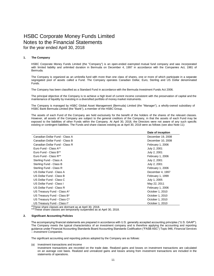### **1. The Company**

HSBC Corporate Money Funds Limited (the "Company") is an open-ended exempted mutual fund company and was incorporated with limited liability and unlimited duration in Bermuda on December 4, 1997 in accordance with the Companies Act, 1981 of Bermuda.

The Company is organized as an umbrella fund with more than one class of shares, one or more of which participate in a separate segregated pool of assets called a Fund. The Company operates Canadian Dollar, Euro, Sterling and US Dollar denominated Funds.

The Company has been classified as a Standard Fund in accordance with the Bermuda Investment Funds Act 2006.

The principal objective of the Company is to achieve a high level of current income consistent with the preservation of capital and the maintenance of liquidity by investing in a diversified portfolio of money market instruments.

The Company is managed by HSBC Global Asset Management (Bermuda) Limited (the "Manager"), a wholly-owned subsidiary of HSBC Bank Bermuda Limited (the "Bank"), a member of the HSBC Group.

The assets of each Fund of the Company are held exclusively for the benefit of the holders of the shares of the relevant classes. However, all assets of the Company are subject to the general creditors of the Company, in that the assets of each Fund may be exposed to the liabilities of other Funds within the Company. At April 30, 2018, the Directors were not aware of any such specific existing or contingent liabilities. The Funds and share classes existing as at April 30, 2018 were as follows (see also Note 11):

|                                | Date of inception |
|--------------------------------|-------------------|
| Canadian Dollar Fund - Class A | December 19, 2008 |
| Canadian Dollar Fund - Class B | December 10, 2008 |
| Canadian Dollar Fund - Class R | February 1, 2006  |
| Euro Fund - Class A**          | July 2, 2001      |
| Euro Fund - Class B**          | July 2, 2001      |
| Euro Fund - Class R**          | February 1, 2006  |
| Sterling Fund - Class A        | July 2, 2001      |
| Sterling Fund - Class B        | July 2, 2001      |
| Sterling Fund - Class R        | February 1, 2006  |
| US Dollar Fund - Class A       | December 4, 1997  |
| US Dollar Fund - Class B       | February 1, 1999  |
| US Dollar Fund - Class C       | July 1, 2005      |
| US Dollar Fund - Class I       | May 22, 2011      |
| US Dollar Fund - Class R       | February 1, 2006  |
| US Treasury Fund - Class A*    | October 1, 2010   |
| US Treasury Fund - Class B*    | October 1, 2010   |
| US Treasury Fund - Class C*    | October 1, 2010   |
| US Treasury Fund - Class I*    | October 1, 2010   |

\*These share classes are dormant as at April 30, 2018. \*\*These share classes are temporarily suspended as at April 30, 2018.

#### **2. Significant Accounting Policies**

The accompanying financial statements are prepared in accordance with U.S. generally accepted accounting principles ("U.S. GAAP"). The Company meets the typical characteristics of an investment company and is therefore applying the accounting and reporting guidance under Financial Accounting Standards Board Accounting Standards Codification ("FASB ASC") Topic 946, *Financial Services – Investment Companies.*

The significant accounting and reporting polices adopted by the Company are as follows:

(a) Investment transactions and income

Investment transactions are recorded on the trade date. Realized gains and losses on investment transactions are calculated on an average cost basis. Realized and unrealized gains and losses arising from investment transactions are included in the statements of operations.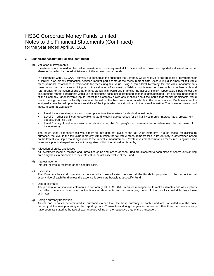### **2. Significant Accounting Policies (continued)**

### Valuation of investments

Investments are valued at fair value. Investments in money market funds are valued based on reported net asset value per share as provided by the administrators of the money market funds.

In accordance with U.S. GAAP, fair value is defined as the price that the Company would receive to sell an asset or pay to transfer a liability in an orderly transaction between market participants at the measurement date. Accounting guidelines for fair value measurements establishes a framework for measuring fair value using a three-level hierarchy for fair value measurements based upon the transparency of inputs to the valuation of an asset or liability. Inputs may be observable or unobservable and refer broadly to the assumptions that market participants would use in pricing the asset or liability. Observable inputs reflect the assumptions market participants would use in pricing the asset or liability based on market data obtained from sources independent of the Company. Unobservable inputs reflect the Company's own assumptions about the inputs that market participants would use in pricing the asset or liability developed based on the best information available in the circumstances. Each investment is assigned a level based upon the observability of the inputs which are significant to the overall valuation. The three-tier hierarchy of inputs is summarized below:

- Level 1 observable prices and quoted prices in active markets for identical investments
- Level 2 other significant observable inputs (including quoted prices for similar investments, interest rates, prepayment speeds, credit risk, etc.)
- Level 3 significant unobservable inputs (including the Company's own assumptions in determining the fair value of investments)

The inputs used to measure fair value may fall into different levels of the fair value hierarchy. In such cases, for disclosure purposes, the level in the fair value hierarchy within which the fair value measurements falls in its entirety is determined based on the lowest level input that is significant to the fair value measurement. Private investment companies measured using net asset value as a practical expedient are not categorized within the fair value hierarchy.

### (c) Allocation of profits and losses

All investment income, realized and unrealized gains and losses of each Fund are allocated to each class of shares outstanding on a daily basis in proportion to their interest in the net asset value of the Fund.

### (d) Interest income

Interest income is recorded on the accrual basis.

(e) Expenses

The Company bears all operating expenses which are allocated between all the Funds in proportion to the respective net asset value of each Fund unless the expense is solely attributable to a specific Fund.

(f) Use of estimates

The preparation of financial statements in conformity with U.S. GAAP requires management to make estimates and assumptions that affect the amounts reported in the financial statements and accompanying notes. Actual results could differ from those estimates.

### (g) Foreign currency translation

Assets and liabilities denominated in currencies other than the base currency of each Fund are translated into the base currency at the rate prevailing at the reporting date. Transactions during the year in currencies other than the base currency have been translated at the rate of exchange prevailing on the respective date of the transaction.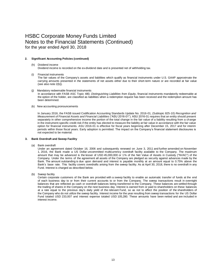### **2. Significant Accounting Policies (continued)**

### (h) Dividend income

Dividend income is recorded on the ex-dividend date and is presented net of withholding tax.

(i) Financial instruments

The fair values of the Company's assets and liabilities which qualify as financial instruments under U.S. GAAP approximate the carrying amounts presented in the statements of net assets either due to their short-term nature or are recorded at fair value  $($ see also note  $2(h)$ ).

(j) Mandatory redeemable financial instruments

In accordance with FASB ASC Topic 480, *Distinguishing Liabilities from Equity*, financial instruments mandatorily redeemable at the option of the holder, are classified as liabilities when a redemption request has been received and the redemption amount has been determined.

(k) New accounting pronouncements

In January 2016, the FASB issued Codification Accounting Standards Update No. 2016-01, (Subtopic 825-10) *Recognition and Measurement of Financial Assets and Financial Liabilities* ("ASU 2016-01"). ASU 2016-01 requires that an entity should present separately in other comprehensive income the portion of the total change in the fair value of a liability resulting from a change in the instrument-specific credit risk if the entity has elected to measure the liability at fair value in accordance with the fair value option for financial instruments. ASU 2016-01 is effective for fiscal years beginning after December 15, 2017 and for interim periods within those fiscal years. Early adoption is permitted. The impact on the Company's financial statement disclosures is not expected to be material.

### **3. Bank Overdraft and Sweep Facility**

(a) Bank overdraft

Under an agreement dated October 16, 2006 and subsequently renewed on June 3, 2011 and further amended on November 1, 2016, the Bank made a US Dollar uncommitted multicurrency overdraft facility available to the Company. The maximum amount that may be advanced is the lesser of USD 45,000,000 or 1% of the Net Value of Assets in Custody ("NVAC") of the Company. Under the terms of the agreement all assets of the Company are pledged as security against advances made by the Bank. The amount outstanding is due upon demand and interest is payable monthly at an amount equal to 0.75% above the Bank's base rate. This facility covers overdrafts arising from the sweep facility. As at April 30, 2018, there is no overdraft in any Fund. Interest is charged as described below.

(b) Sweep facility

Certain corporate customers of the Bank are provided with a sweep facility to enable an automatic transfer of funds at the end of each business day to or from their current accounts to or from the Company. The sweep transactions result in overnight balances that are reflected as cash or overdraft balances being transferred to the Company. These balances are settled through the trading of shares in the Company on the next business day. Interest is earned from or paid to shareholders on these balances at a rate equal to the previous day's daily yield of the relevant Fund, so as not to affect the position of the shareholders of the Company who do not utilize the sweep facility. Interest income for the year resulting from sweep transactions for the US Dollar Fund totaled USD 233,007 and interest expense totaled USD 105,280. These amounts have been netted and are included in interest income.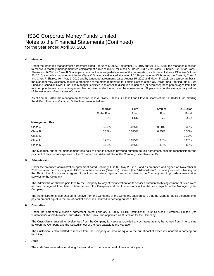### **4. Manager**

Under the amended management agreement dated February 1, 2006, September 12, 2016 and April 23 2018, the Manager is entitled to receive a monthly management fee calculated at a rate of 0.30% for Class A Shares, 0.35% for Class B Shares, 0.20% for Class I Shares and 0.65% for Class R Shares per annum of the average daily values of the net assets of each class of shares. Effective October 25, 2010, a monthly management fee for Class C Shares is calculated at a rate of 0.12% per annum. With respect to Class A, Class B and Class R Shares, from May 1, 2010 and by amended agreements dated August 15, 2012 and March 5, 2013, on a temporary basis, the Manager may voluntarily reduce a proportion of the management fee for certain classes of the US Dollar Fund, Sterling Fund, Euro Fund and Canadian Dollar Fund. The Manager is entitled in its absolute discretion to increase (or decrease) these percentages from time to time up to the maximum management fee permitted under the terms of the agreement of 1% per annum of the average daily values of the net assets of each class of shares.

As of April 30, 2018, the management fees for Class A, Class B, Class C, Class I and Class R Shares of the US Dollar Fund, Sterling Fund, Euro Fund and Canadian Dollar Fund were as follows:

|                       | Canadian    | Euro           | Sterling   | <b>US Dollar</b> |
|-----------------------|-------------|----------------|------------|------------------|
|                       | Dollar Fund | Fund           | Fund       | Fund             |
|                       | CAD         | <b>EUR</b>     | <b>GBP</b> | <b>USD</b>       |
| <b>Management Fee</b> |             |                |            |                  |
| Class A               | 0.30%       | 0.075%         | 0.30%      | 0.30%            |
| Class B               | 0.35%       | 0.075%         | 0.35%      | 0.35%            |
| Class C               | $\,$        | $\blacksquare$ | -          | 0.12%            |
| Class I               | 0.20%       | 0.075%         | 0.20%      | 0.20%            |
| Class R               | 0.65%       | 0.075%         | 0.65%      | 0.65%            |

The Manager, out of the management fees paid to it for its services provided pursuant to this agreement, shall be responsible for the payment of fees and/or expenses of the Custodian and Administrator of the Company (see also note 15).

### **5. Administrator**

Under the amended administration agreement dated February 1, 2006, May 20, 2016 and as amended and signed on November 8, 2017 between the Company and HSBC Securities Services (Bermuda) Limited (the "Administrator"), a wholly-owned subsidiary of the Bank, the Administrator agreed to act as secretary, registrar, and accountant to the Company and to provide administrative services to the Company.

The Administrator shall be paid fees by the Company by way of remuneration for its services pursuant to this agreement at such rates as may be agreed from time to time between the Company and the Administrator out of the fees payable to the Manager by the Company.

The Administrator is also entitled to receive from the Company or the Company shall procure that the Manager as its delegate shall pay an amount equal to the out-of-pocket expenses incurred in carrying out its duties.

#### **6. Custodian**

Under the amended custodian agreement dated February 1, 2006, HSBC Institutional Trust Services (Bermuda) Limited (the "Custodian"), a wholly-owned subsidiary of the Bank, was appointed as Custodian for the Company.

The Custodian is entitled to receive fees from the Company for services provided at such rates as may be agreed from time to time between the Company and the Custodian out of the fees payable to the Manager.

The Custodian is also entitled to receive from the Company an amount equal to the out-of-pocket expenses incurred in carrying out its duties.

#### **7. Audit**

The audit fees were adjusted during the year, due to the over accrual of fees in prior years.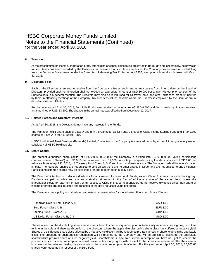### **8. Taxation**

At the present time no income, corporation profit, withholding or capital gains taxes are levied in Bermuda and, accordingly, no provision for such taxes has been recorded by the Company. In the event that such taxes are levied, the Company has received an undertaking from the Bermuda Government, under the Exempted Undertaking Tax Protection Act 1966, exempting it from all such taxes until March 31, 2035.

#### **9. Directors' Fees**

Each of the Directors is entitled to receive from the Company a fee at such rate as may be set from time to time by the Board of Directors, provided such remuneration shall not exceed an aggregate amount of USD 30,000 per annum without prior consent of the Shareholders in a general meeting. The Directors may also be reimbursed for all travel, hotel and other expenses properly incurred by them in attending meetings of the Company. No such fees will be payable where the Director is employed by the Bank or any of its subsidiaries or affiliates.

For the year ended April 30, 2018, Ms. Julie E. McLean received an annual fee of USD 8,500 and Mr. L. Anthony Joaquin received an annual fee of USD 13,500. The change in the annual rate was effective from December 12, 2017.

#### **10. Related Parties and Directors' Interests**

As at April 30, 2018, the Directors do not have any interests in the Funds.

The Manager held 1 share each of Class A and B in the Canadian Dollar Fund, 2 shares of Class I in the Sterling Fund and 17,249,399 shares of Class A in the US Dollar Fund.

HSBC Institutional Trust Services (Bermuda) Limited, Custodian to the Company is a related party, by virtue of it being a wholly owned subsidiary of HSBC Holdings plc.

#### **11. Share Capital**

The present authorized share capital of USD 2,000,000,000 of the Company is divided into 19,999,880,000 voting participating common shares ("Shares") of USD 0.10 par value each and 12,000 non-voting, non-participating founders' shares of USD 1.00 par value each. As of April 30, 2018, US Treasury Fund Class A, B, C and I had no shares in issue. The Manager holds all founders' shares, nil paid. The founders' shares are not entitled to vote unless there are no other shares in issue, and are not entitled to any dividends. Participating common shares may be subscribed for and redeemed on a daily basis.

The Directors' intention is to declare dividends for all classes of shares in all Funds, except Class R shares, on each dealing day. Dividends are paid monthly and are automatically reinvested in the form of additional shares of the same class, unless the shareholder elects for payment in cash. With respect to Class R shares, shareholders do not receive dividends since their share of income or profits are accumulated and reflected in the daily net asset value per share.

The Company has a policy of maintaining a constant net asset value for the following Funds and Share Classes:

| Canadian Dollar Fund - Class A, B | CAD 1.00        |
|-----------------------------------|-----------------|
| Euro Fund - Class A, B            | EUR 1.00        |
| Sterling Fund - Class A, B        | GBP 1.00        |
| US Dollar Fund - Class A, B, C, I | <b>USD 1.00</b> |

Shares of each of the distributing share classes are subject to compulsory redemption automatically as at any dealing day, from time to time in the sole and absolute discretion of the directors, where the applicable distributing share class has suffered a negative yield. Shares of a distributing share class affected by a negative yield event will be redeemed pro-rata across all shareholders in the applicable class. The proceeds of such special redemption will be retained by the Company and will be applied to discharge the applicable shareholder's pro-rata share of such negative yield. Shareholders subject to a special redemption will have no right to receive the proceeds of such special redemption and will cease to have any rights with respect to the shares so redeemed after the close of business on the relevant dealing day as of which the special redemption is affected. For the year ended April 30, 2018, 30,163.65 shares were redeemed in respect of the Euro Fund.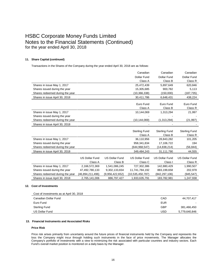### **11. Share Capital (continued)**

Transactions in the Shares of the Company during the year ended April 30, 2018 are as follows:

|                                 |                       |                       | Canadian              | Canadian              | Canadian              |
|---------------------------------|-----------------------|-----------------------|-----------------------|-----------------------|-----------------------|
|                                 |                       |                       | <b>Dollar Fund</b>    | <b>Dollar Fund</b>    | Dollar Fund           |
|                                 |                       |                       | Class A               | Class B               | Class R               |
| Shares in issue May 1, 2017     |                       |                       | 25,472,439            | 5,897,649             | 620,846               |
| Shares issued during the year   |                       |                       | 15,305,685            | 900,782               | 5,113                 |
| Shares redeemed during the year |                       |                       | (10,366,338)          | (150,000)             | (187,735)             |
| Shares in issue April 30, 2018  |                       |                       | 30,411,786            | 6,648,431             | 438,224               |
|                                 |                       |                       |                       |                       |                       |
|                                 |                       |                       | Euro Fund             | Euro Fund             | Euro Fund             |
|                                 |                       |                       | Class A               | Class B               | Class R               |
| Shares in issue May 1, 2017     |                       |                       | 10,144,069            | 1,313,294             | 21,997                |
| Shares issued during the year   |                       |                       |                       |                       |                       |
| Shares redeemed during the year |                       |                       | (10,144,069)          | (1,313,294)           | (21, 997)             |
| Shares in issue April 30, 2018  |                       |                       |                       |                       |                       |
|                                 |                       |                       |                       |                       |                       |
|                                 |                       |                       | <b>Sterling Fund</b>  | <b>Sterling Fund</b>  | <b>Sterling Fund</b>  |
|                                 |                       |                       | Class A               | Class B               | Class R               |
| Shares in issue May 1, 2017     |                       |                       | 36,110,956            | 28,843,282            | 101,205               |
| Shares issued during the year   |                       |                       | 958,341,834           | 17,106,722            | 194                   |
| Shares redeemed during the year |                       |                       | (644,968,547)         | (14,838,214)          | (56,844)              |
| Shares in issue April 30, 2018  |                       |                       | 349,484,243           | 31,111,790            | 44,555                |
|                                 |                       |                       |                       |                       |                       |
|                                 | <b>US Dollar Fund</b> | <b>US Dollar Fund</b> | <b>US Dollar Fund</b> | <b>US Dollar Fund</b> | <b>US Dollar Fund</b> |
|                                 | Class A               | Class B               | Class C               | Class I               | Class R               |
| Shares in issue May 1, 2017     | 2,166,572,369         | 1,541,086,245         | 727,302,386           | 142,880,429           | 1,990,507             |
| Shares issued during the year   | 47,492,780,133        | 9,302,133,834         | 11,741,784,192        | 883,199,658           | 202,978               |
| Shares redeemed during the year | (46,894,211,496)      | (9,956,422,652)       | (10, 535, 450, 787)   | (842,297,106)         | (945, 547)            |
| Shares in issue April 30, 2018  | 2,765,141,006         | 886,797,427           | 1,933,635,791         | 183,782,981           | 1,247,938             |

### **12. Cost of Investments**

| Cost of investments as at April 30, 2018 |            |                          |
|------------------------------------------|------------|--------------------------|
| Canadian Dollar Fund                     | CAD        | 44,707,417               |
| Euro Fund                                | EUR        | $\overline{\phantom{a}}$ |
| <b>Sterling Fund</b>                     | <b>GBP</b> | 381,466,450              |
| US Dollar Fund                           | USD        | 5,779,640,846            |

#### **13. Financial Instruments and Associated Risks**

### **Price Risk**

Price risk arises primarily from uncertainty around the future prices of financial instruments held by the Company and represents the loss the Company might incur through holding such instruments in the face of price movements. The Manager allocates the Company's portfolio of investments with a view to minimizing the risk associated with particular countries and industry sectors. Each Fund's overall market position is monitored on a daily basis by the Manager.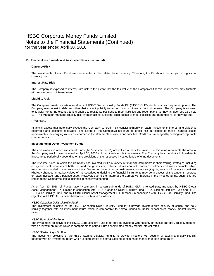#### **13. Financial Instruments and Associated Risks (continued)**

#### **Currency Risk**

The investments of each Fund are denominated in the related base currency. Therefore, the Funds are not subject to significant currency risk.

#### **Interest Rate Risk**

The Company is exposed to interest rate risk to the extent that the fair value of the Company's financial instruments may fluctuate with movements in interest rates.

#### **Liquidity Risk**

The Company invests in certain sub-funds of HSBC Global Liquidity Funds Plc ("HSBC GLF") which provides daily redemptions. The Company may invest in debt securities that are not publicly traded or for which there is no liquid market. The Company is exposed to liquidity risk to the extent that it is unable to realize its positions to meet liabilities and redemptions as they fall due (see also note 11). The Manager manages liquidity risk by maintaining sufficient liquid assets to meet liabilities and redemptions as they fall due.

#### **Credit Risk**

Financial assets that potentially expose the Company to credit risk consist primarily of cash, investments, interest and dividends receivable and accounts receivable. The extent of the Company's exposure to credit risk in respect of these financial assets approximates the carrying values as recorded in the statements of assets and liabilities. Credit risk is managed by dealing with reputable counterparties.

#### **Investments in Other Investment Funds**

The investments in other investment funds (the "investee funds") are valued at their fair value. The fair value represents the amount the Company would have received at April 30, 2018 if it had liquidated its investments. The Company has the ability to liquidate its investments periodically depending on the provisions of the respective investee fund's offering documents.

The investee funds in which the Company has invested utilize a variety of financial instruments in their trading strategies including equity and debt securities of both U.S. and foreign issuers, options, futures contracts, forward contracts and swap contracts, which may be denominated in various currencies. Several of these financial instruments contain varying degrees of off-balance sheet risk whereby changes in market values of the securities underlying the financial instruments may be in excess of the amounts recorded on each investee fund's balance sheet. However, due to the nature of the Company's interests in the investee funds, such risks are limited to the Company's capital balance in each investee fund.

As of April 30, 2018, all Funds have investments in certain sub-funds of HSBC GLF, a related party managed by HSBC Global Asset Management (UK) Limited in connection with HSBC Canadian Dollar Liquidity Fund, HSBC Sterling Liquidity Fund and HSBC US Dollar Liquidity Fund, and by HSBC Global Asset Management FLP (France) in connection with HSBC Euro Liquidity Fund. The objective of HSBC GLF is described for each sub-fund as follows:

#### *HSBC Canadian Dollar Liquidity Fund*

The investment objective of the HSBC Canadian Dollar Liquidity Fund is to provide investors with security of capital and daily liquidity together with an investment return which is comparable to normal Canadian Dollar denominated money market interest rates.

#### *HSBC Euro Liquidity Fund*

The investment objective of the HSBC Euro Liquidity Fund is to provide investors with security of capital and daily liquidity together with an investment return which is comparable to normal Euro denominated money market interest rates.

#### *HSBC Sterling Liquidity Fund*

The investment objective of the HSBC Sterling Liquidity Fund is to provide investors with security of capital and daily liquidity together with an investment return which is comparable to normal Sterling denominated money market interest rates.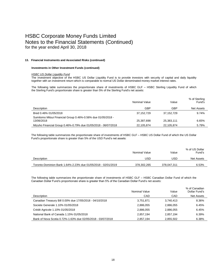### **13. Financial Instruments and Associated Risks (continued)**

#### **Investments in Other Investment Funds (continued)**

#### *HSBC US Dollar Liquidity Fund*

The investment objective of the HSBC US Dollar Liquidity Fund is to provide investors with security of capital and daily liquidity together with an investment return which is comparable to normal US Dollar denominated money market interest rates.

The following table summarizes the proportionate share of investments of HSBC GLF – HSBC Sterling Liquidity Fund of which the Sterling Fund's proportionate share is greater than 5% of the Sterling Fund's net assets:

|                                                                            | Nominal Value | Value      | % of Sterling<br>Fund's |
|----------------------------------------------------------------------------|---------------|------------|-------------------------|
| Description                                                                | GBP           | GBP        | <b>Net Assets</b>       |
| Bred 0.46% 01/05/2018                                                      | 37.152.729    | 37.152.729 | 9.74%                   |
| Sumitomo Mitsui Financial Group 0.46%-0.56% due 01/05/2018 -<br>13/06/2018 | 25.387.698    | 25.383.111 | 6.65%                   |
| Mizuho Financial Group 0.46%-0.79% due 01/05/2018 - 06/07/2018             | 22,105,874    | 22.105.874 | 5.79%                   |

The following table summarizes the proportionate share of investments of HSBC GLF – HSBC US Dollar Fund of which the US Dollar Fund's proportionate share is greater than 5% of the USD Fund's net assets:

|                                                               | Nominal Value | Value       | % of US Dollar<br>Fund's |
|---------------------------------------------------------------|---------------|-------------|--------------------------|
| Description                                                   | JSD           | USD         | <b>Net Assets</b>        |
| Toronto-Dominion Bank 1.64%-2.23% due 01/05/2018 - 02/01/2019 | 378,302,265   | 378.047.311 | 6.53%                    |

The following table summarizes the proportionate share of investments of HSBC GLF – HSBC Canadian Dollar Fund of which the Canadian Dollar Fund's proportionate share is greater than 5% of the Canadian Dollar Fund's net assets:

|                                                             | Nominal Value | Value     | % of Canadian<br>Dollar Fund's |
|-------------------------------------------------------------|---------------|-----------|--------------------------------|
| Description                                                 | CAD           | CAD       | Net Assets                     |
| Canadian Treasury Bill 0.00% due 17/05/2018 - 04/10/2018    | 3,751,871     | 3.740.413 | 8.36%                          |
| Societe Generale 1.10% 01/05/2018                           | 2,886,055     | 2.886.055 | 6.45%                          |
| Crédit Agricole 1.10% 01/05/2018                            | 2.886.055     | 2.886.055 | 6.45%                          |
| National Bank of Canada 1.15% 01/05/2018                    | 2.857.194     | 2.857.194 | 6.39%                          |
| Bank of Nova Scotia 0.72%-1.63% due 02/05/2018 - 03/07/2018 | 2.857.194     | 2.855.502 | 6.38%                          |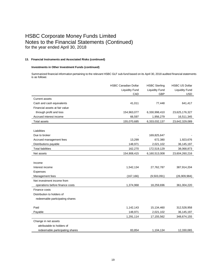### **13. Financial Instruments and Associated Risks (continued)**

### **Investments in Other Investment Funds (continued)**

Summarized financial information pertaining to the relevant HSBC GLF sub-fund based on its April 30, 2018 audited financial statements is as follows:

|                                 | <b>HSBC Canadian Dollar</b> | <b>HSBC Sterling</b>  | <b>HSBC US Dollar</b> |
|---------------------------------|-----------------------------|-----------------------|-----------------------|
|                                 | <b>Liquidity Fund</b>       | <b>Liquidity Fund</b> | <b>Liquidity Fund</b> |
|                                 | CAD                         | <b>GBP</b>            | <b>USD</b>            |
| <b>Current assets</b>           |                             |                       |                       |
| Cash and cash equivalents       | 41,011                      | 77,448                | 641,417               |
| Financial assets at fair value  |                             |                       |                       |
| through profit and loss         | 154,963,077                 | 6,330,998,410         | 23,625,176,327        |
| Accrued interest income         | 66,597                      | 1,956,279             | 16,511,345            |
| <b>Total assets</b>             | 155,070,685                 | 6,333,032,137         | 23,642,329,089        |
| Liabilities                     |                             |                       |                       |
| Due to broker                   |                             | 169,825,647           |                       |
| Accrued management fees         | 13,299                      | 672,380               | 1,923,676             |
| Distributions payable           | 148,971                     | 2,021,102             | 36, 145, 197          |
| <b>Total liabilities</b>        | 162,270                     | 172,519,129           | 38,068,873            |
|                                 |                             |                       |                       |
| Net assets                      | 154,908,415                 | 6,160,513,008         | 23,604,260,216        |
|                                 |                             |                       |                       |
| Income                          |                             |                       |                       |
| Interest income                 | 1,542,134                   | 27,762,787            | 387,914,204           |
| Expenses                        |                             |                       |                       |
| Management fees                 | (167, 166)                  | (9,503,091)           | (26,909,984)          |
| Net investment income from      |                             |                       |                       |
| operations before finance costs | 1,374,968                   | 18,259,696            | 361,004,220           |
| Finance costs                   |                             |                       |                       |
| Distribution to holders of      |                             |                       |                       |
| redeemable participating shares |                             |                       |                       |
| Paid                            | 1,142,143                   | 15,134,460            | 312,528,958           |
| Payable                         | 148,971                     | 2,021,102             | 36, 145, 197          |
|                                 | 1,291,114                   | 17, 155, 562          | 348,674,155           |
| Change in net assets            |                             |                       |                       |
| attributable to holders of      |                             |                       |                       |
| redeemable participating shares | 83,854                      | 1,104,134             | 12,330,065            |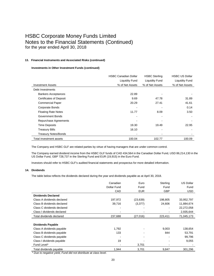### **13. Financial Instruments and Associated Risks (continued)**

### **Investments in Other Investment Funds (continued)**

|                                | <b>HSBC Canadian Dollar</b> | <b>HSBC Sterling</b>  | <b>HSBC US Dollar</b> |
|--------------------------------|-----------------------------|-----------------------|-----------------------|
|                                | <b>Liquidity Fund</b>       | <b>Liquidity Fund</b> | <b>Liquidity Fund</b> |
| <b>Investment Assets</b>       | % of Net Assets             | % of Net Assets       | % of Net Assets       |
| Debt Investments               |                             |                       |                       |
| <b>Bankers Acceptances</b>     | 22.89                       |                       |                       |
| <b>Certificates of Deposit</b> | 9.69                        | 47.78                 | 31.89                 |
| <b>Commercial Paper</b>        | 20.29                       | 27.41                 | 41.61                 |
| Corporate Bonds                |                             |                       | 0.14                  |
| <b>Floating Rate Notes</b>     | 11.77                       | 8.09                  | 3.50                  |
| Government Bonds               |                             |                       |                       |
| Repurchase Agreements          |                             |                       |                       |
| <b>Time Deposits</b>           | 19.30                       | 19.49                 | 22.95                 |
| <b>Treasury Bills</b>          | 16.10                       |                       |                       |
| <b>Treasury Notes/Bonds</b>    |                             |                       |                       |
| Total investment assets        | 100.04                      | 102.77                | 100.09                |

The Company and HSBC GLF are related parties by virtue of having managers that are under common control.

The Company earned dividend income from the HSBC GLF funds of CAD 434,564 in the Canadian Dollar Fund, USD 86,214,130 in the US Dollar Fund, GBP 728,737 in the Sterling Fund and EUR (19,915) in the Euro Fund.

Investors should refer to HSBC GLF's audited financial statements and prospectus for more detailed information.

### **14. Dividends**

The table below reflects the dividends declared during the year and dividends payable as at April 30, 2018.

|                            | Canadian           | Euro       | Sterling   | <b>US Dollar</b> |
|----------------------------|--------------------|------------|------------|------------------|
|                            | <b>Dollar Fund</b> | Fund       | Fund       | Fund             |
|                            | CAD                | <b>EUR</b> | <b>GBP</b> | <b>USD</b>       |
| <b>Dividends Declared</b>  |                    |            |            |                  |
| Class A dividends declared | 197,972            | (23, 639)  | 198,805    | 33,952,797       |
| Class B dividends declared | 39,716             | (3, 377)   | 24,606     | 11,884,674       |
| Class C dividends declared |                    |            |            | 22,272,058       |
| Class I dividends declared |                    |            |            | 2,935,644        |
| Total dividends declared   | 237,688            | (27,016)   | 223,411    | 71,045,173       |
|                            |                    |            |            |                  |
| <b>Dividends Payable</b>   |                    |            |            |                  |
| Class A dividends payable  | 1,792              |            | 9,003      | 138,654          |
| Class B dividends payable  | 133                |            | 844        | 53,791           |
| Class C dividends payable  |                    |            |            | 99,796           |
| Class I dividends payable  | 19                 |            |            | 9,055            |
| Fund Level*                |                    | 3,701      |            |                  |
| Total dividends payable    | 1,944              | 3,701      | 9,847      | 301,296          |

 *\* Due to negative yield, Fund did not distribute at class level.*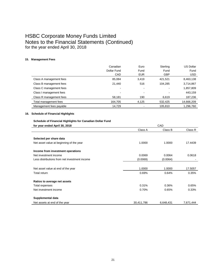### **15. Management Fees**

|                         | Canadian    | Euro       | Sterling   | <b>US Dollar</b> |
|-------------------------|-------------|------------|------------|------------------|
|                         | Dollar Fund | Fund       | Fund       | Fund             |
|                         | CAD         | <b>EUR</b> | <b>GBP</b> | <b>USD</b>       |
| Class A management fees | 85,084      | 3,419      | 421,521    | 8,463,138        |
| Class B management fees | 21,440      | 516        | 104,285    | 3,714,867        |
| Class C management fees | -           | $\,$       |            | 1,857,809        |
| Class I management fees | ٠           | $\,$       |            | 443,159          |
| Class R management fees | 58,181      | 190        | 6,619      | 187,236          |
| Total management fees   | 164,705     | 4,125      | 532,425    | 14,666,209       |
| Management fees payable | 14,729      |            | 105,810    | 1,296,760        |

### **16. Schedule of Financial Highlights**

### **Schedule of Financial Highlights for Canadian Dollar Fund**

| for year ended April 30, 2018                 |            | CAD       |           |  |  |
|-----------------------------------------------|------------|-----------|-----------|--|--|
|                                               | Class A    | Class B   | Class R   |  |  |
|                                               |            |           |           |  |  |
| Selected per share data                       |            |           |           |  |  |
| Net asset value at beginning of the year      | 1.0000     | 1.0000    | 17.4439   |  |  |
| Income from investment operations             |            |           |           |  |  |
| Net investment income                         | 0.0069     | 0.0064    | 0.0618    |  |  |
| Less distributions from net investment income | (0.0069)   | (0.0064)  |           |  |  |
|                                               |            |           |           |  |  |
| Net asset value at end of the year            | 1.0000     | 1.0000    | 17.5057   |  |  |
| Total return                                  | 0.69%      | 0.64%     | 0.35%     |  |  |
| Ratios to average net assets                  |            |           |           |  |  |
|                                               |            |           |           |  |  |
| Total expenses                                | 0.31%      | 0.36%     | 0.65%     |  |  |
| Net investment income                         | 0.70%      | 0.65%     | 0.33%     |  |  |
| Supplemental data                             |            |           |           |  |  |
| Net assets at end of the year                 | 30,411,786 | 6,648,431 | 7,671,444 |  |  |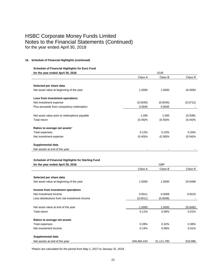### **16. Schedule of Financial Highlights (continued)**

### **Schedule of Financial Highlights for Euro Fund**

| for the year ended April 30, 2018            |            | <b>EUR</b> |          |  |
|----------------------------------------------|------------|------------|----------|--|
|                                              | Class A    | Class B    | Class R  |  |
|                                              |            |            |          |  |
| Selected per share data                      |            |            |          |  |
| Net asset value at beginning of the year     | 1.0000     | 1.0000     | 16.0093  |  |
| Loss from investment operations              |            |            |          |  |
| Net investment expense                       | (0.0045)   | (0.0045)   | (0.0712) |  |
| Plus proceeds from compulsory redemption     | 0.0045     | 0.0045     |          |  |
|                                              |            |            |          |  |
| Net asset value prior to redemptions payable | 1.000      | 1.000      | 15.9381  |  |
| <b>Total return</b>                          | $(0.45)\%$ | $(0.45)\%$ | (0.44)%  |  |
| Ratios to average net assets*                |            |            |          |  |
| Total expenses                               | 0.12%      | 0.10%      | 0.20%    |  |
| Net investment expense                       | $(0.40)\%$ | $(0.38)\%$ | (0.54)%  |  |
| Supplemental data                            |            |            |          |  |
| Net assets at end of the year                |            |            |          |  |
|                                              |            |            |          |  |

### **Schedule of Financial Highlights for Sterling Fund**

| for the year ended April 30, 2018             |             | <b>GBP</b> |         |  |  |
|-----------------------------------------------|-------------|------------|---------|--|--|
|                                               | Class A     | Class B    | Class R |  |  |
|                                               |             |            |         |  |  |
| Selected per share data                       |             |            |         |  |  |
| Net asset value at beginning of the year      | 1.0000      | 1.0000     | 20.6468 |  |  |
| Income from investment operations             |             |            |         |  |  |
| Net investment income                         | 0.0011      | 0.0008     | 0.0015  |  |  |
| Less distributions from net investment income | (0.0011)    | (0.0008)   |         |  |  |
|                                               |             |            |         |  |  |
| Net asset value at end of the year            | 1.0000      | 1.0000     | 20.6483 |  |  |
| Total return                                  | 0.11%       | 0.08%      | 0.01%   |  |  |
| Ratios to average net assets                  |             |            |         |  |  |
| Total expenses                                | 0.28%       | 0.32%      | 0.38%   |  |  |
| Net investment income                         | 0.14%       | 0.08%      | 0.01%   |  |  |
| Supplemental data                             |             |            |         |  |  |
| Net assets at end of the year                 | 349,484,243 | 31,111,790 | 919,986 |  |  |

*\*Ratios are calculated for the period from May 1, 2017 to January 31, 2018.*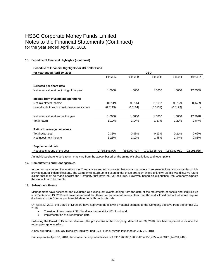### **16. Schedule of Financial Highlights (continued)**

### **Schedule of Financial Highlights for US Dollar Fund**

| for year ended April 30, 2018                 | <b>USD</b>    |             |               |             |            |
|-----------------------------------------------|---------------|-------------|---------------|-------------|------------|
|                                               | Class A       | Class B     | Class C       | Class I     | Class R    |
|                                               |               |             |               |             |            |
| Selected per share data                       |               |             |               |             |            |
| Net asset value at beginning of the year      | 1.0000        | 1.0000      | 1.0000        | 1.0000      | 17.5559    |
|                                               |               |             |               |             |            |
| Income from investment operations             |               |             |               |             |            |
| Net investment income                         | 0.0119        | 0.0114      | 0.0137        | 0.0129      | 0.1469     |
| Less distributions from net investment income | (0.0119)      | (0.0114)    | (0.0137)      | (0.0129)    |            |
|                                               |               |             |               |             |            |
| Net asset value at end of the year            | 1.0000        | 1.0000      | 1.0000        | 1.0000      | 17.7028    |
| <b>Total return</b>                           | 1.19%         | 1.14%       | 1.37%         | 1.29%       | 0.84%      |
|                                               |               |             |               |             |            |
| Ratios to average net assets                  |               |             |               |             |            |
| Total expenses                                | 0.31%         | 0.36%       | 0.13%         | 0.21%       | 0.66%      |
| Net investment income                         | 1.21%         | 1.12%       | 1.45%         | 1.34%       | 0.81%      |
|                                               |               |             |               |             |            |
| Supplemental data                             |               |             |               |             |            |
| Net assets at end of the year                 | 2,765,141,006 | 886,797,427 | 1,933,635,791 | 183,782,981 | 22,091,985 |

An individual shareholder's return may vary from the above, based on the timing of subscriptions and redemptions.

### **17. Commitments and Contingencies**

In the normal course of operations the Company enters into contracts that contain a variety of representations and warranties which provide general indemnifications. The Company's maximum exposure under these arrangements is unknown as this would involve future claims that may be made against the Company that have not yet occurred. However, based on experience, the Company expects the risk of loss to be remote.

#### **18. Subsequent Events**

Management have assessed and evaluated all subsequent events arising from the date of the statements of assets and liabilities up until September 19, 2018 and have determined that there are no material events other than those disclosed below that would require disclosure in the Company's financial statements through this date.

On April 23, 2018, the Board of Directors have approved the following material changes to the Company effective from September 30, 2018:

- Transition from constant NAV fund to a low volatility NAV fund, and,
- Implementation of a redemption gate.

Following the Board of Directors' decision, the prospectus of the Company, dated June 26, 2018, has been updated to include the redemption gate wording.

A new sub-fund, HSBC US Treasury Liquidity Fund (GLF Treasury) was launched on July 23, 2018.

Subsequent to April 30, 2018, there were net capital activities of USD 176,200,120, CAD 4,153,495, and GBP (14,601,946).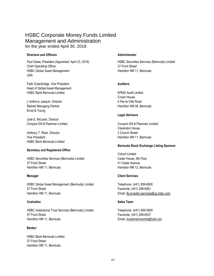### HSBC Corporate Money Funds Limited Management and Administration for the year ended April 30, 2018

### **Directors and Officers Administrator**

Paul Dawe, President (Appointed: April 23, 2018) HSBC Securities Services (Bermuda) Limited Chief Operating Officer 37 Front Street HSBC Global Asset Management **Hamilton HM 11, Bermuda** USA

Faith Outerbridge, Vice President **Auditors Auditors** Head of Global Asset Management HSBC Bank Bermuda Limited **KPMG** Audit Limited

L Anthony Joaquin, Director 4 Par-la-Ville Road Retired Managing Partner **Hamilton HM** 08, Bermuda Ernst & Young

Julie E. McLean, Director Conyers Dill & Pearman Limited Conyers Dill & Pearman Limited

Anthony T. Riker, Director 2 Church Street Vice President **Hamilton HM** 11, Bermuda HSBC Bank Bermuda Limited

### **Secretary and Registered Office**

HSBC Securities Services (Bermuda) Limited Cedar House, 5th Floor 37 Front Street 41 Cedar Avenue Hamilton HM 11, Bermuda **Hamilton HM 12, Bermuda** Hamilton HM 12, Bermuda

HSBC Global Asset Management (Bermuda) Limited Telephone: (441) 299-6900 37 Front Street Facsimile: (441) 299-6061 Hamilton HM 11, Bermuda Email: ifs.investor.services@us.hsbc.com

HSBC Institutional Trust Services (Bermuda) Limited Telephone: (441) 299-5900 37 Front Street Facsimile: (441) 299-6537 Hamilton HM 11, Bermuda Email: investmentcentre@hsbc.bm

### **Banker**

HSBC Bank Bermuda Limited 37 Front Street Hamilton HM 11, Bermuda

Crown House

### **Legal Advisers**

Clarendon House

### **Bermuda Stock Exchange Listing Sponsor**

Cohort Limited

### **Manager Client Services**

### **Custodian Sales Team**